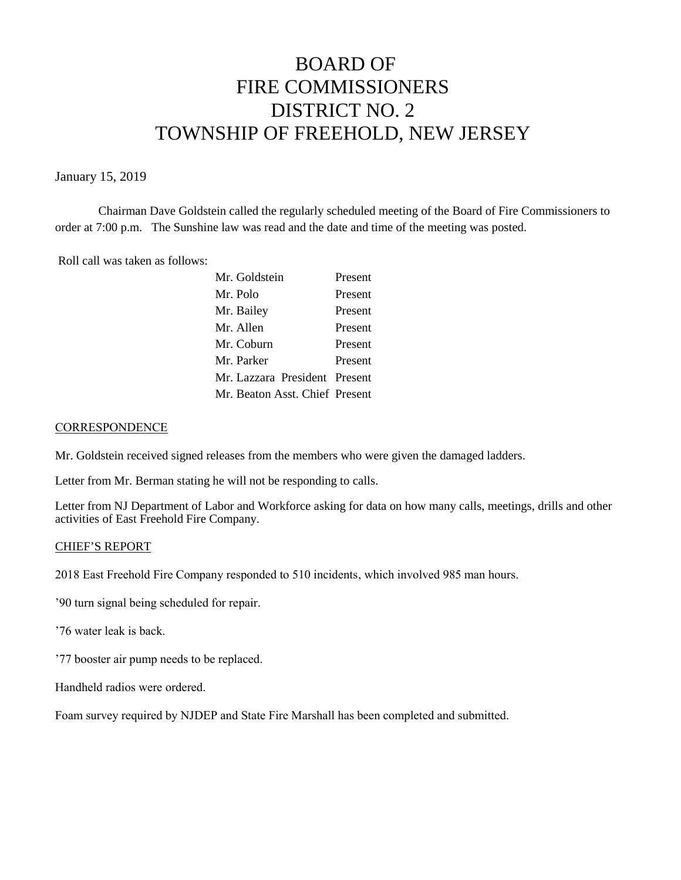# BOARD OF FIRE COMMISSIONERS DISTRICT NO. 2 TOWNSHIP OF FREEHOLD, NEW JERSEY

#### January 15, 2019

Chairman Dave Goldstein called the regularly scheduled meeting of the Board of Fire Commissioners to order at 7:00 p.m. The Sunshine law was read and the date and time of the meeting was posted.

Roll call was taken as follows:

| Mr. Goldstein                  | Present |
|--------------------------------|---------|
| Mr. Polo                       | Present |
| Mr. Bailey                     | Present |
| Mr. Allen                      | Present |
| Mr. Coburn                     | Present |
| Mr. Parker                     | Present |
| Mr. Lazzara President Present  |         |
| Mr. Beaton Asst. Chief Present |         |

#### **CORRESPONDENCE**

Mr. Goldstein received signed releases from the members who were given the damaged ladders.

Letter from Mr. Berman stating he will not be responding to calls.

Letter from NJ Department of Labor and Workforce asking for data on how many calls, meetings, drills and other activities of East Freehold Fire Company.

#### CHIEF'S REPORT

2018 East Freehold Fire Company responded to 510 incidents, which involved 985 man hours.

'90 turn signal being scheduled for repair.

'76 water leak is back.

'77 booster air pump needs to be replaced.

Handheld radios were ordered.

Foam survey required by NJDEP and State Fire Marshall has been completed and submitted.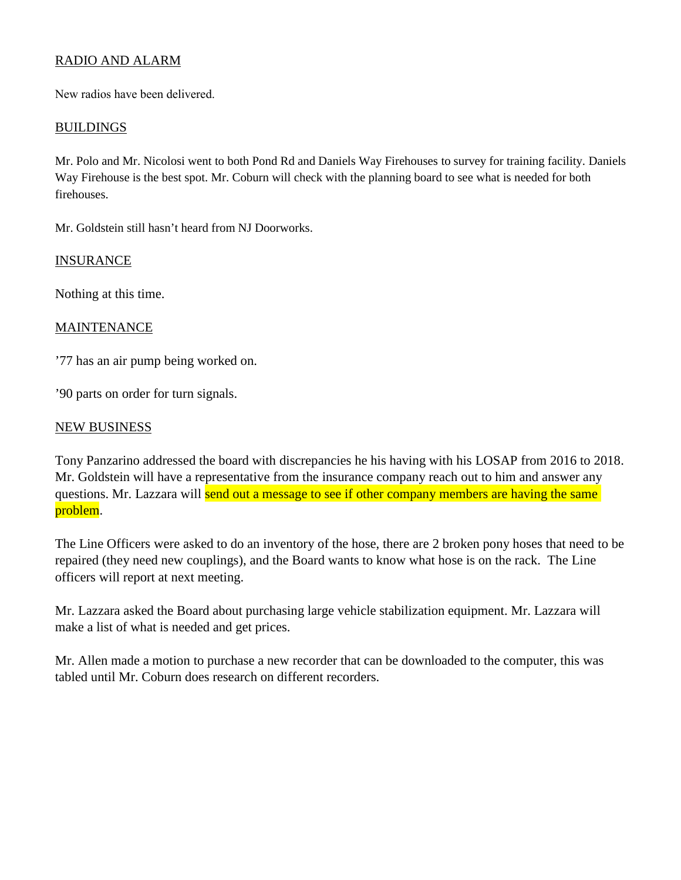# RADIO AND ALARM

New radios have been delivered.

#### **BUILDINGS**

Mr. Polo and Mr. Nicolosi went to both Pond Rd and Daniels Way Firehouses to survey for training facility. Daniels Way Firehouse is the best spot. Mr. Coburn will check with the planning board to see what is needed for both firehouses.

Mr. Goldstein still hasn't heard from NJ Doorworks.

#### **INSURANCE**

Nothing at this time.

### MAINTENANCE

'77 has an air pump being worked on.

'90 parts on order for turn signals.

#### NEW BUSINESS

Tony Panzarino addressed the board with discrepancies he his having with his LOSAP from 2016 to 2018. Mr. Goldstein will have a representative from the insurance company reach out to him and answer any questions. Mr. Lazzara will send out a message to see if other company members are having the same problem.

The Line Officers were asked to do an inventory of the hose, there are 2 broken pony hoses that need to be repaired (they need new couplings), and the Board wants to know what hose is on the rack. The Line officers will report at next meeting.

Mr. Lazzara asked the Board about purchasing large vehicle stabilization equipment. Mr. Lazzara will make a list of what is needed and get prices.

Mr. Allen made a motion to purchase a new recorder that can be downloaded to the computer, this was tabled until Mr. Coburn does research on different recorders.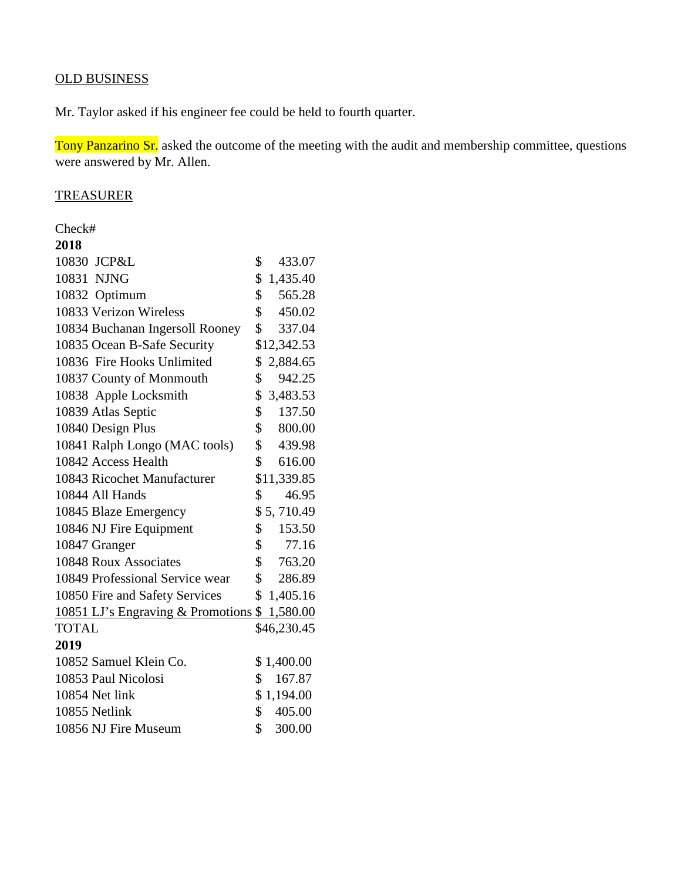# OLD BUSINESS

Mr. Taylor asked if his engineer fee could be held to fourth quarter.

Tony Panzarino Sr. asked the outcome of the meeting with the audit and membership committee, questions were answered by Mr. Allen.

## **TREASURER**

Check#

| 2018                                         |                         |
|----------------------------------------------|-------------------------|
| 10830 JCP&L                                  | \$<br>433.07            |
| 10831 NJNG                                   | \$<br>1,435.40          |
| 10832 Optimum                                | \$<br>565.28            |
| 10833 Verizon Wireless                       | $\mathbb{S}$<br>450.02  |
| 10834 Buchanan Ingersoll Rooney              | \$<br>337.04            |
| 10835 Ocean B-Safe Security                  | \$12,342.53             |
| 10836 Fire Hooks Unlimited                   | \$2,884.65              |
| 10837 County of Monmouth                     | 942.25<br>\$            |
| 10838 Apple Locksmith                        | \$<br>3,483.53          |
| 10839 Atlas Septic                           | $\mathbb{S}$<br>137.50  |
| 10840 Design Plus                            | $\mathbb{S}$<br>800.00  |
| 10841 Ralph Longo (MAC tools)                | \$439.98                |
| 10842 Access Health                          | $\mathbb{S}$<br>616.00  |
| 10843 Ricochet Manufacturer                  | \$11,339.85             |
| 10844 All Hands                              | \$<br>46.95             |
| 10845 Blaze Emergency                        | \$5,710.49              |
| 10846 NJ Fire Equipment                      | \$<br>153.50            |
| 10847 Granger                                | \$<br>77.16             |
| 10848 Roux Associates                        | $\mathcal{S}$<br>763.20 |
| 10849 Professional Service wear              | $\mathbb{S}$<br>286.89  |
| 10850 Fire and Safety Services               | \$1,405.16              |
| 10851 LJ's Engraving & Promotions \$1,580.00 |                         |
| <b>TOTAL</b>                                 | \$46,230.45             |
| 2019                                         |                         |
| 10852 Samuel Klein Co.                       | \$1,400.00              |
| 10853 Paul Nicolosi                          | \$<br>167.87            |
| 10854 Net link                               | \$1,194.00              |
| 10855 Netlink                                | \$<br>405.00            |
| 10856 NJ Fire Museum                         | \$<br>300.00            |